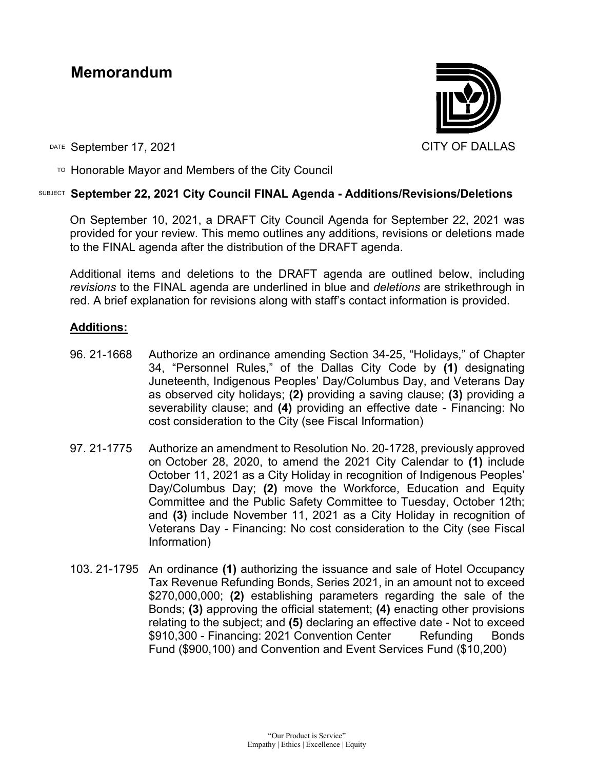# **Memorandum**



DATE September 17, 2021 CITY OF DALLAS

 $\overline{P}$  Honorable Mayor and Members of the City Council

## SUBJECT **September 22, 2021 City Council FINAL Agenda - Additions/Revisions/Deletions**

On September 10, 2021, a DRAFT City Council Agenda for September 22, 2021 was provided for your review. This memo outlines any additions, revisions or deletions made to the FINAL agenda after the distribution of the DRAFT agenda.

Additional items and deletions to the DRAFT agenda are outlined below, including *revisions* to the FINAL agenda are underlined in blue and *deletions* are strikethrough in red. A brief explanation for revisions along with staff's contact information is provided.

# **Additions:**

- 96. 21-1668 Authorize an ordinance amending Section 34-25, "Holidays," of Chapter 34, "Personnel Rules," of the Dallas City Code by **(1)** designating Juneteenth, Indigenous Peoples' Day/Columbus Day, and Veterans Day as observed city holidays; **(2)** providing a saving clause; **(3)** providing a severability clause; and **(4)** providing an effective date - Financing: No cost consideration to the City (see Fiscal Information)
- 97. 21-1775 Authorize an amendment to Resolution No. 20-1728, previously approved on October 28, 2020, to amend the 2021 City Calendar to **(1)** include October 11, 2021 as a City Holiday in recognition of Indigenous Peoples' Day/Columbus Day; **(2)** move the Workforce, Education and Equity Committee and the Public Safety Committee to Tuesday, October 12th; and **(3)** include November 11, 2021 as a City Holiday in recognition of Veterans Day - Financing: No cost consideration to the City (see Fiscal Information)
- 103. 21-1795 An ordinance **(1)** authorizing the issuance and sale of Hotel Occupancy Tax Revenue Refunding Bonds, Series 2021, in an amount not to exceed \$270,000,000; **(2)** establishing parameters regarding the sale of the Bonds; **(3)** approving the official statement; **(4)** enacting other provisions relating to the subject; and **(5)** declaring an effective date - Not to exceed \$910,300 - Financing: 2021 Convention Center Refunding Bonds Fund (\$900,100) and Convention and Event Services Fund (\$10,200)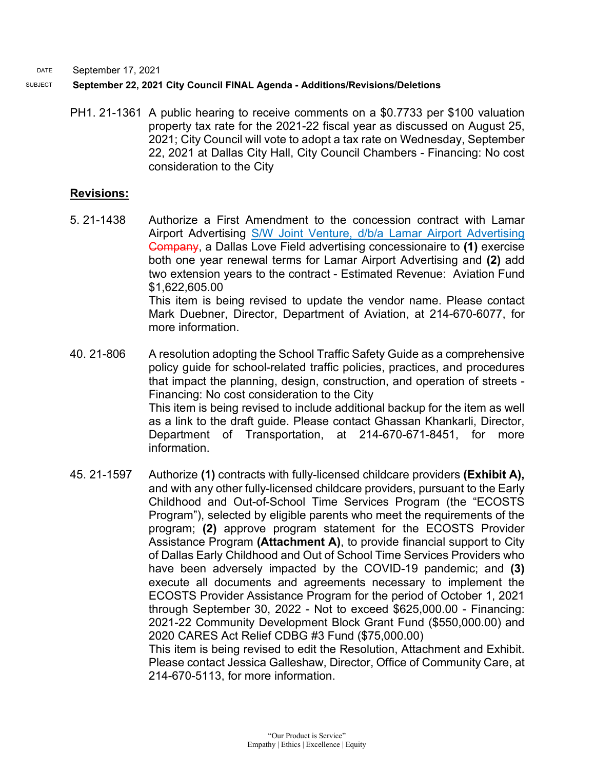#### SUBJECT **September 22, 2021 City Council FINAL Agenda - Additions/Revisions/Deletions**

PH1. 21-1361 A public hearing to receive comments on a \$0.7733 per \$100 valuation property tax rate for the 2021-22 fiscal year as discussed on August 25, 2021; City Council will vote to adopt a tax rate on Wednesday, September 22, 2021 at Dallas City Hall, City Council Chambers - Financing: No cost consideration to the City

#### **Revisions:**

- 5. 21-1438 Authorize a First Amendment to the concession contract with Lamar Airport Advertising S/W Joint Venture, d/b/a Lamar Airport Advertising Company, a Dallas Love Field advertising concessionaire to **(1)** exercise both one year renewal terms for Lamar Airport Advertising and **(2)** add two extension years to the contract - Estimated Revenue: Aviation Fund \$1,622,605.00 This item is being revised to update the vendor name. Please contact Mark Duebner, Director, Department of Aviation, at 214-670-6077, for more information.
- 40. 21-806 A resolution adopting the School Traffic Safety Guide as a comprehensive policy guide for school-related traffic policies, practices, and procedures that impact the planning, design, construction, and operation of streets - Financing: No cost consideration to the City This item is being revised to include additional backup for the item as well as a link to the draft guide. Please contact Ghassan Khankarli, Director, Department of Transportation, at 214-670-671-8451, for more information.
- 45. 21-1597 Authorize **(1)** contracts with fully-licensed childcare providers **(Exhibit A),** and with any other fully-licensed childcare providers, pursuant to the Early Childhood and Out-of-School Time Services Program (the "ECOSTS Program"), selected by eligible parents who meet the requirements of the program; **(2)** approve program statement for the ECOSTS Provider Assistance Program **(Attachment A)**, to provide financial support to City of Dallas Early Childhood and Out of School Time Services Providers who have been adversely impacted by the COVID-19 pandemic; and **(3)** execute all documents and agreements necessary to implement the ECOSTS Provider Assistance Program for the period of October 1, 2021 through September 30, 2022 - Not to exceed \$625,000.00 - Financing: 2021-22 Community Development Block Grant Fund (\$550,000.00) and 2020 CARES Act Relief CDBG #3 Fund (\$75,000.00) This item is being revised to edit the Resolution, Attachment and Exhibit.

Please contact Jessica Galleshaw, Director, Office of Community Care, at 214-670-5113, for more information.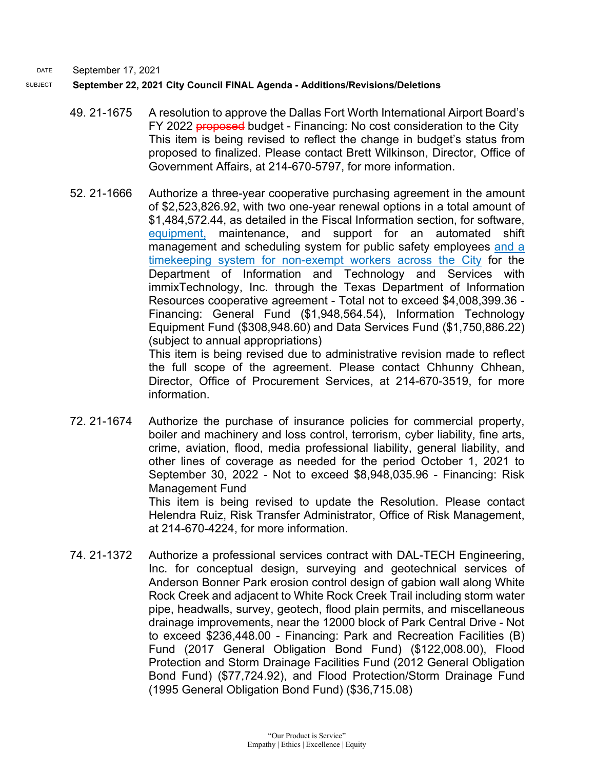#### SUBJECT **September 22, 2021 City Council FINAL Agenda - Additions/Revisions/Deletions**

- 49. 21-1675 A resolution to approve the Dallas Fort Worth International Airport Board's FY 2022 **proposed** budget - Financing: No cost consideration to the City This item is being revised to reflect the change in budget's status from proposed to finalized. Please contact Brett Wilkinson, Director, Office of Government Affairs, at 214-670-5797, for more information.
- 52. 21-1666 Authorize a three-year cooperative purchasing agreement in the amount of \$2,523,826.92, with two one-year renewal options in a total amount of \$1,484,572.44, as detailed in the Fiscal Information section, for software, equipment, maintenance, and support for an automated shift management and scheduling system for public safety employees and a timekeeping system for non-exempt workers across the City for the Department of Information and Technology and Services with immixTechnology, Inc. through the Texas Department of Information Resources cooperative agreement - Total not to exceed \$4,008,399.36 - Financing: General Fund (\$1,948,564.54), Information Technology Equipment Fund (\$308,948.60) and Data Services Fund (\$1,750,886.22) (subject to annual appropriations) This item is being revised due to administrative revision made to reflect

the full scope of the agreement. Please contact Chhunny Chhean, Director, Office of Procurement Services, at 214-670-3519, for more information.

72. 21-1674 Authorize the purchase of insurance policies for commercial property, boiler and machinery and loss control, terrorism, cyber liability, fine arts, crime, aviation, flood, media professional liability, general liability, and other lines of coverage as needed for the period October 1, 2021 to September 30, 2022 - Not to exceed \$8,948,035.96 - Financing: Risk Management Fund

This item is being revised to update the Resolution. Please contact Helendra Ruiz, Risk Transfer Administrator, Office of Risk Management, at 214-670-4224, for more information.

74. 21-1372 Authorize a professional services contract with DAL-TECH Engineering, Inc. for conceptual design, surveying and geotechnical services of Anderson Bonner Park erosion control design of gabion wall along White Rock Creek and adjacent to White Rock Creek Trail including storm water pipe, headwalls, survey, geotech, flood plain permits, and miscellaneous drainage improvements, near the 12000 block of Park Central Drive - Not to exceed \$236,448.00 - Financing: Park and Recreation Facilities (B) Fund (2017 General Obligation Bond Fund) (\$122,008.00), Flood Protection and Storm Drainage Facilities Fund (2012 General Obligation Bond Fund) (\$77,724.92), and Flood Protection/Storm Drainage Fund (1995 General Obligation Bond Fund) (\$36,715.08)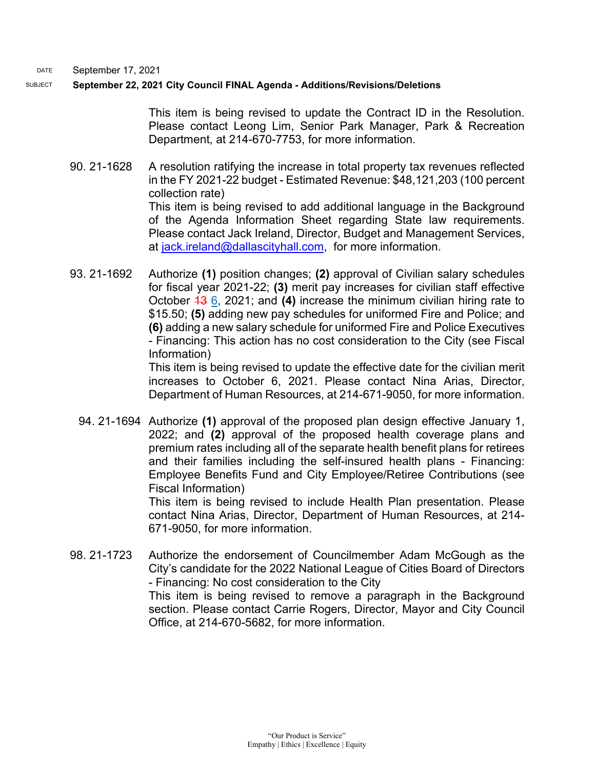#### SUBJECT **September 22, 2021 City Council FINAL Agenda - Additions/Revisions/Deletions**

This item is being revised to update the Contract ID in the Resolution. Please contact Leong Lim, Senior Park Manager, Park & Recreation Department, at 214-670-7753, for more information.

- 90. 21-1628 A resolution ratifying the increase in total property tax revenues reflected in the FY 2021-22 budget - Estimated Revenue: \$48,121,203 (100 percent collection rate) This item is being revised to add additional language in the Background of the Agenda Information Sheet regarding State law requirements. Please contact Jack Ireland, Director, Budget and Management Services, at [jack.ireland@dallascityhall.com,](mailto:jack.ireland@dallascityhall.com) for more information.
- 93. 21-1692 Authorize **(1)** position changes; **(2)** approval of Civilian salary schedules for fiscal year 2021-22; **(3)** merit pay increases for civilian staff effective October 13 6, 2021; and **(4)** increase the minimum civilian hiring rate to \$15.50; **(5)** adding new pay schedules for uniformed Fire and Police; and **(6)** adding a new salary schedule for uniformed Fire and Police Executives - Financing: This action has no cost consideration to the City (see Fiscal Information)

This item is being revised to update the effective date for the civilian merit increases to October 6, 2021. Please contact Nina Arias, Director, Department of Human Resources, at 214-671-9050, for more information.

94. 21-1694 Authorize **(1)** approval of the proposed plan design effective January 1, 2022; and **(2)** approval of the proposed health coverage plans and premium rates including all of the separate health benefit plans for retirees and their families including the self-insured health plans - Financing: Employee Benefits Fund and City Employee/Retiree Contributions (see Fiscal Information)

This item is being revised to include Health Plan presentation. Please contact Nina Arias, Director, Department of Human Resources, at 214- 671-9050, for more information.

98. 21-1723 Authorize the endorsement of Councilmember Adam McGough as the City's candidate for the 2022 National League of Cities Board of Directors - Financing: No cost consideration to the City This item is being revised to remove a paragraph in the Background section. Please contact Carrie Rogers, Director, Mayor and City Council Office, at 214-670-5682, for more information.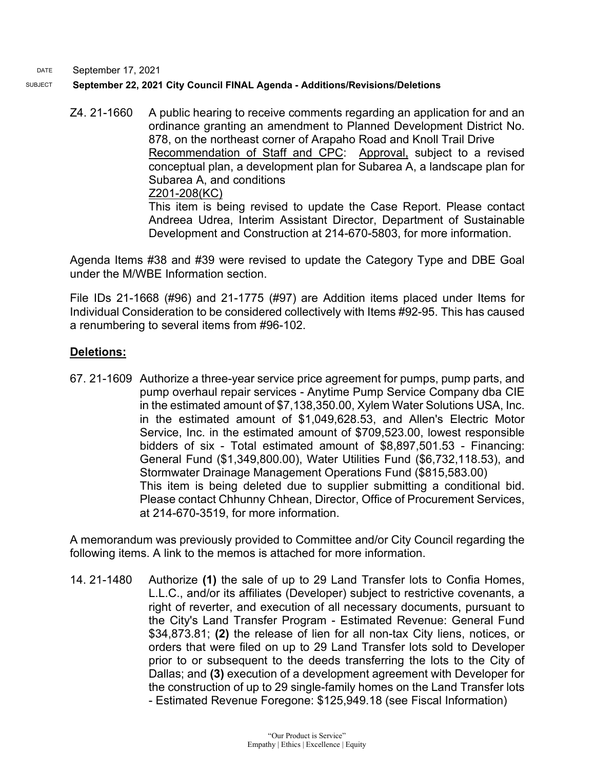#### DATE September 17, 2021 SUBJECT **September 22, 2021 City Council FINAL Agenda - Additions/Revisions/Deletions**

Z4. 21-1660 A public hearing to receive comments regarding an application for and an ordinance granting an amendment to Planned Development District No. 878, on the northeast corner of Arapaho Road and Knoll Trail Drive Recommendation of Staff and CPC: Approval, subject to a revised conceptual plan, a development plan for Subarea A, a landscape plan for Subarea A, and conditions

Z201-208(KC)

This item is being revised to update the Case Report. Please contact Andreea Udrea, Interim Assistant Director, Department of Sustainable Development and Construction at 214-670-5803, for more information.

Agenda Items #38 and #39 were revised to update the Category Type and DBE Goal under the M/WBE Information section.

File IDs 21-1668 (#96) and 21-1775 (#97) are Addition items placed under Items for Individual Consideration to be considered collectively with Items #92-95. This has caused a renumbering to several items from #96-102.

# **Deletions:**

67. 21-1609 Authorize a three-year service price agreement for pumps, pump parts, and pump overhaul repair services - Anytime Pump Service Company dba CIE in the estimated amount of \$7,138,350.00, Xylem Water Solutions USA, Inc. in the estimated amount of \$1,049,628.53, and Allen's Electric Motor Service, Inc. in the estimated amount of \$709,523.00, lowest responsible bidders of six - Total estimated amount of \$8,897,501.53 - Financing: General Fund (\$1,349,800.00), Water Utilities Fund (\$6,732,118.53), and Stormwater Drainage Management Operations Fund (\$815,583.00) This item is being deleted due to supplier submitting a conditional bid. Please contact Chhunny Chhean, Director, Office of Procurement Services, at 214-670-3519, for more information.

A memorandum was previously provided to Committee and/or City Council regarding the following items. A link to the memos is attached for more information.

14. 21-1480 Authorize **(1)** the sale of up to 29 Land Transfer lots to Confia Homes, L.L.C., and/or its affiliates (Developer) subject to restrictive covenants, a right of reverter, and execution of all necessary documents, pursuant to the City's Land Transfer Program - Estimated Revenue: General Fund \$34,873.81; **(2)** the release of lien for all non-tax City liens, notices, or orders that were filed on up to 29 Land Transfer lots sold to Developer prior to or subsequent to the deeds transferring the lots to the City of Dallas; and **(3)** execution of a development agreement with Developer for the construction of up to 29 single-family homes on the Land Transfer lots - Estimated Revenue Foregone: \$125,949.18 (see Fiscal Information)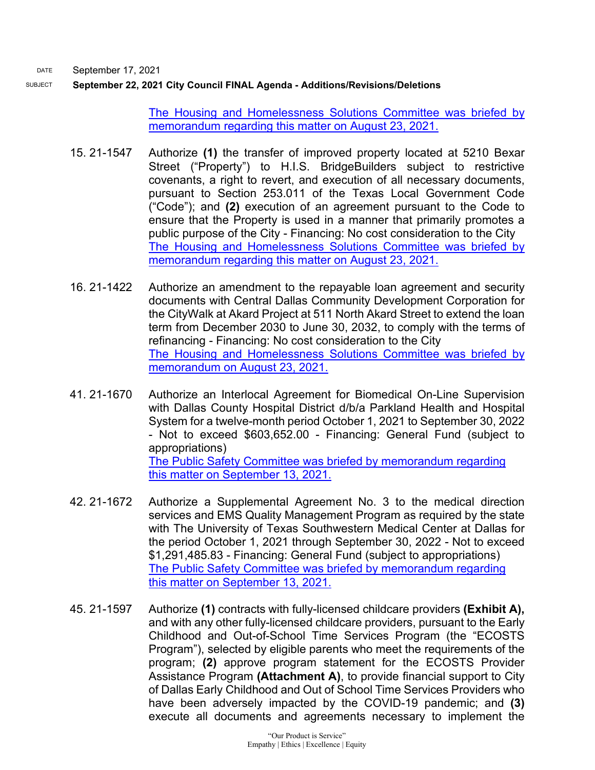SUBJECT **September 22, 2021 City Council FINAL Agenda - Additions/Revisions/Deletions**

[The Housing and Homelessness Solutions Committee was briefed by](http://cityofdallas.legistar.com/gateway.aspx?M=F&ID=2c5c840f-3b68-4521-a4e7-bed6724b1f19.pdf)  [memorandum regarding this matter on August 23, 2021.](http://cityofdallas.legistar.com/gateway.aspx?M=F&ID=2c5c840f-3b68-4521-a4e7-bed6724b1f19.pdf)

- 15. 21-1547 Authorize **(1)** the transfer of improved property located at 5210 Bexar Street ("Property") to H.I.S. BridgeBuilders subject to restrictive covenants, a right to revert, and execution of all necessary documents, pursuant to Section 253.011 of the Texas Local Government Code ("Code"); and **(2)** execution of an agreement pursuant to the Code to ensure that the Property is used in a manner that primarily promotes a public purpose of the City - Financing: No cost consideration to the City [The Housing and Homelessness Solutions Committee was briefed by](https://cityofdallas.legistar.com/View.ashx?M=F&ID=9255775&GUID=7C66DDBE-FD3B-48C1-97C0-5FFEC9293CA9)  [memorandum regarding this matter on August 23, 2021.](https://cityofdallas.legistar.com/View.ashx?M=F&ID=9255775&GUID=7C66DDBE-FD3B-48C1-97C0-5FFEC9293CA9)
- 16. 21-1422 Authorize an amendment to the repayable loan agreement and security documents with Central Dallas Community Development Corporation for the CityWalk at Akard Project at 511 North Akard Street to extend the loan term from December 2030 to June 30, 2032, to comply with the terms of refinancing - Financing: No cost consideration to the City [The Housing and Homelessness Solutions Committee was briefed by](http://cityofdallas.legistar.com/gateway.aspx?M=F&ID=24dc529b-e35c-4e0f-8815-6eb8fb891ab8.pdf)  [memorandum on August 23, 2021.](http://cityofdallas.legistar.com/gateway.aspx?M=F&ID=24dc529b-e35c-4e0f-8815-6eb8fb891ab8.pdf)
- 41. 21-1670 Authorize an Interlocal Agreement for Biomedical On-Line Supervision with Dallas County Hospital District d/b/a Parkland Health and Hospital System for a twelve-month period October 1, 2021 to September 30, 2022 - Not to exceed \$603,652.00 - Financing: General Fund (subject to appropriations) [The Public Safety Committee was briefed by memorandum regarding](http://cityofdallas.legistar.com/gateway.aspx?M=F&ID=b8d1da49-1693-4741-9ad8-ffc063787f98.pdf)  [this matter on September 13, 2021.](http://cityofdallas.legistar.com/gateway.aspx?M=F&ID=b8d1da49-1693-4741-9ad8-ffc063787f98.pdf)
- 42. 21-1672 Authorize a Supplemental Agreement No. 3 to the medical direction services and EMS Quality Management Program as required by the state with The University of Texas Southwestern Medical Center at Dallas for the period October 1, 2021 through September 30, 2022 - Not to exceed \$1,291,485.83 - Financing: General Fund (subject to appropriations) [The Public Safety Committee was briefed by memorandum regarding](http://cityofdallas.legistar.com/gateway.aspx?M=F&ID=46a5caee-7edc-49b3-a98c-d36cac8e0f08.pdf)  [this matter on September 13, 2021.](http://cityofdallas.legistar.com/gateway.aspx?M=F&ID=46a5caee-7edc-49b3-a98c-d36cac8e0f08.pdf)
- 45. 21-1597 Authorize **(1)** contracts with fully-licensed childcare providers **(Exhibit A),** and with any other fully-licensed childcare providers, pursuant to the Early Childhood and Out-of-School Time Services Program (the "ECOSTS Program"), selected by eligible parents who meet the requirements of the program; **(2)** approve program statement for the ECOSTS Provider Assistance Program **(Attachment A)**, to provide financial support to City of Dallas Early Childhood and Out of School Time Services Providers who have been adversely impacted by the COVID-19 pandemic; and **(3)** execute all documents and agreements necessary to implement the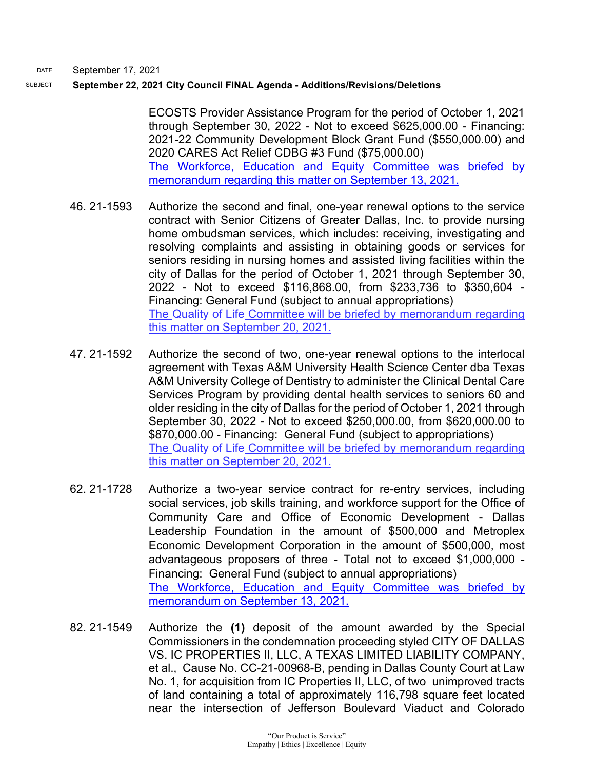#### SUBJECT **September 22, 2021 City Council FINAL Agenda - Additions/Revisions/Deletions**

ECOSTS Provider Assistance Program for the period of October 1, 2021 through September 30, 2022 - Not to exceed \$625,000.00 - Financing: 2021-22 Community Development Block Grant Fund (\$550,000.00) and 2020 CARES Act Relief CDBG #3 Fund (\$75,000.00) [The Workforce, Education and Equity Committee was](http://cityofdallas.legistar.com/gateway.aspx?M=F&ID=db211864-64dc-4bf4-b2aa-d3a763e019d1.pdf) briefed by [memorandum regarding this matter on September 13, 2021.](http://cityofdallas.legistar.com/gateway.aspx?M=F&ID=db211864-64dc-4bf4-b2aa-d3a763e019d1.pdf)

- 46. 21-1593 Authorize the second and final, one-year renewal options to the service contract with Senior Citizens of Greater Dallas, Inc. to provide nursing home ombudsman services, which includes: receiving, investigating and resolving complaints and assisting in obtaining goods or services for seniors residing in nursing homes and assisted living facilities within the city of Dallas for the period of October 1, 2021 through September 30, 2022 - Not to exceed \$116,868.00, from \$233,736 to \$350,604 - Financing: General Fund (subject to annual appropriations) The Quality of Life Committee will be briefed by memorandum regarding this matter on September 20, 2021.
- 47. 21-1592 Authorize the second of two, one-year renewal options to the interlocal agreement with Texas A&M University Health Science Center dba Texas A&M University College of Dentistry to administer the Clinical Dental Care Services Program by providing dental health services to seniors 60 and older residing in the city of Dallas for the period of October 1, 2021 through September 30, 2022 - Not to exceed \$250,000.00, from \$620,000.00 to \$870,000.00 - Financing: General Fund (subject to appropriations) The Quality of Life Committee will be briefed by memorandum regarding this matter on September 20, 2021.
- 62. 21-1728 Authorize a two-year service contract for re-entry services, including social services, job skills training, and workforce support for the Office of Community Care and Office of Economic Development - Dallas Leadership Foundation in the amount of \$500,000 and Metroplex Economic Development Corporation in the amount of \$500,000, most advantageous proposers of three - Total not to exceed \$1,000,000 - Financing: General Fund (subject to annual appropriations) [The Workforce, Education and Equity Committee was briefed by](http://cityofdallas.legistar.com/gateway.aspx?M=F&ID=db211864-64dc-4bf4-b2aa-d3a763e019d1.pdf)  [memorandum on September 13, 2021.](http://cityofdallas.legistar.com/gateway.aspx?M=F&ID=db211864-64dc-4bf4-b2aa-d3a763e019d1.pdf)
- 82. 21-1549 Authorize the **(1)** deposit of the amount awarded by the Special Commissioners in the condemnation proceeding styled CITY OF DALLAS VS. IC PROPERTIES II, LLC, A TEXAS LIMITED LIABILITY COMPANY, et al., Cause No. CC-21-00968-B, pending in Dallas County Court at Law No. 1, for acquisition from IC Properties II, LLC, of two unimproved tracts of land containing a total of approximately 116,798 square feet located near the intersection of Jefferson Boulevard Viaduct and Colorado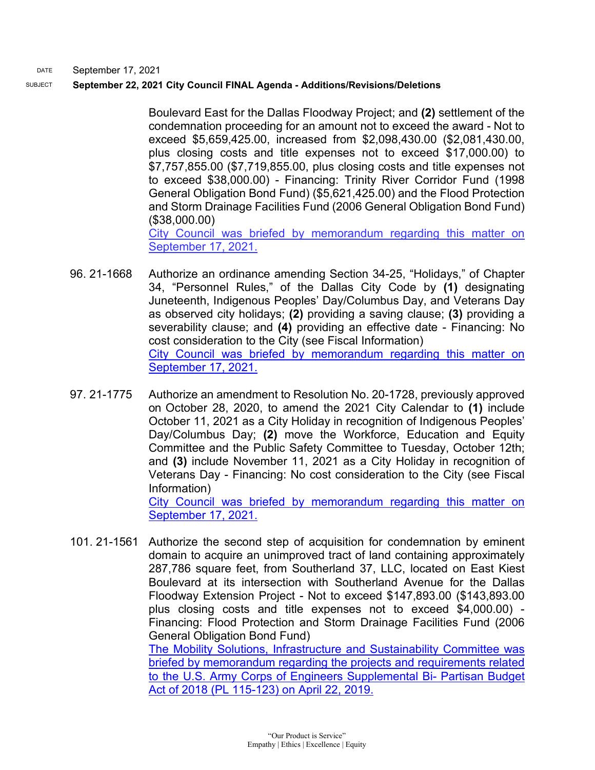#### SUBJECT **September 22, 2021 City Council FINAL Agenda - Additions/Revisions/Deletions**

Boulevard East for the Dallas Floodway Project; and **(2)** settlement of the condemnation proceeding for an amount not to exceed the award - Not to exceed \$5,659,425.00, increased from \$2,098,430.00 (\$2,081,430.00, plus closing costs and title expenses not to exceed \$17,000.00) to \$7,757,855.00 (\$7,719,855.00, plus closing costs and title expenses not to exceed \$38,000.00) - Financing: Trinity River Corridor Fund (1998 General Obligation Bond Fund) (\$5,621,425.00) and the Flood Protection and Storm Drainage Facilities Fund (2006 General Obligation Bond Fund) (\$38,000.00) City Council was briefed by memorandum regarding this matter on

September 17, 2021.

- 96. 21-1668 Authorize an ordinance amending Section 34-25, "Holidays," of Chapter 34, "Personnel Rules," of the Dallas City Code by **(1)** designating Juneteenth, Indigenous Peoples' Day/Columbus Day, and Veterans Day as observed city holidays; **(2)** providing a saving clause; **(3)** providing a severability clause; and **(4)** providing an effective date - Financing: No cost consideration to the City (see Fiscal Information) [City Council was briefed by memorandum regarding this matter on](https://dallascityhall.com/government/citymanager/Documents/FY%2020-21%20Memos/2021%20Calendar%20Memo_New%20Holidays_091721.pdf)  [September 17, 2021.](https://dallascityhall.com/government/citymanager/Documents/FY%2020-21%20Memos/2021%20Calendar%20Memo_New%20Holidays_091721.pdf)
- 97. 21-1775 Authorize an amendment to Resolution No. 20-1728, previously approved on October 28, 2020, to amend the 2021 City Calendar to **(1)** include October 11, 2021 as a City Holiday in recognition of Indigenous Peoples' Day/Columbus Day; **(2)** move the Workforce, Education and Equity Committee and the Public Safety Committee to Tuesday, October 12th; and **(3)** include November 11, 2021 as a City Holiday in recognition of Veterans Day - Financing: No cost consideration to the City (see Fiscal Information)

[City Council was briefed by memorandum regarding this matter on](https://dallascityhall.com/government/citymanager/Documents/FY%2020-21%20Memos/2021%20Calendar%20Memo_New%20Holidays_091721.pdf)  [September 17, 2021.](https://dallascityhall.com/government/citymanager/Documents/FY%2020-21%20Memos/2021%20Calendar%20Memo_New%20Holidays_091721.pdf)

101. 21-1561 Authorize the second step of acquisition for condemnation by eminent domain to acquire an unimproved tract of land containing approximately 287,786 square feet, from Southerland 37, LLC, located on East Kiest Boulevard at its intersection with Southerland Avenue for the Dallas Floodway Extension Project - Not to exceed \$147,893.00 (\$143,893.00 plus closing costs and title expenses not to exceed \$4,000.00) - Financing: Flood Protection and Storm Drainage Facilities Fund (2006 General Obligation Bond Fund) [The Mobility Solutions, Infrastructure and Sustainability Committee was](https://dallascityhall.com/government/Council%20Meeting%20Documents/msis_5__supplemental-appropriation-in-the-bipartisan-budget-act-of-2018-update-on-flood-risk-management-projects_memo_042219.pdf)  [briefed by memorandum regarding the projects and requirements related](https://dallascityhall.com/government/Council%20Meeting%20Documents/msis_5__supplemental-appropriation-in-the-bipartisan-budget-act-of-2018-update-on-flood-risk-management-projects_memo_042219.pdf)  [to the U.S. Army Corps of Engineers Supplemental Bi-](https://dallascityhall.com/government/Council%20Meeting%20Documents/msis_5__supplemental-appropriation-in-the-bipartisan-budget-act-of-2018-update-on-flood-risk-management-projects_memo_042219.pdf) Partisan Budget [Act of 2018 \(PL 115-123\) on April 22, 2019.](https://dallascityhall.com/government/Council%20Meeting%20Documents/msis_5__supplemental-appropriation-in-the-bipartisan-budget-act-of-2018-update-on-flood-risk-management-projects_memo_042219.pdf)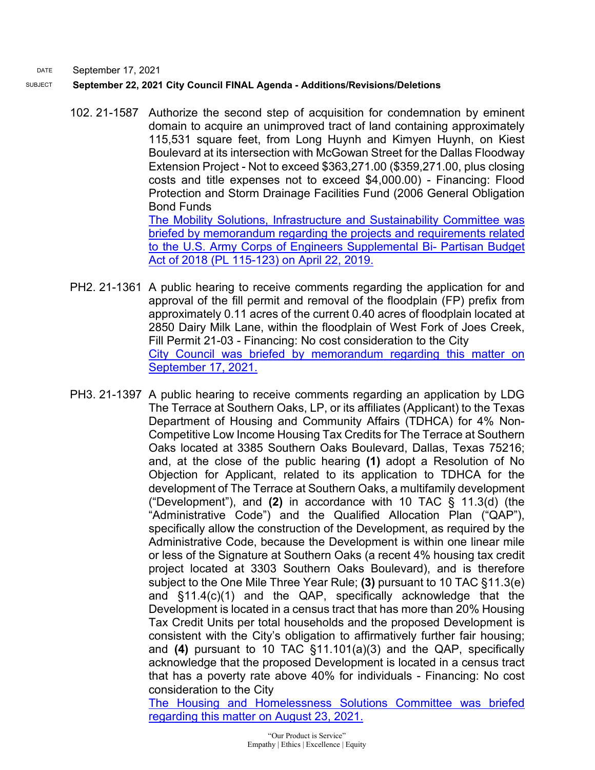## SUBJECT **September 22, 2021 City Council FINAL Agenda - Additions/Revisions/Deletions**

- 102. 21-1587 Authorize the second step of acquisition for condemnation by eminent domain to acquire an unimproved tract of land containing approximately 115,531 square feet, from Long Huynh and Kimyen Huynh, on Kiest Boulevard at its intersection with McGowan Street for the Dallas Floodway Extension Project - Not to exceed \$363,271.00 (\$359,271.00, plus closing costs and title expenses not to exceed \$4,000.00) - Financing: Flood Protection and Storm Drainage Facilities Fund (2006 General Obligation Bond Funds [The Mobility Solutions, Infrastructure and Sustainability Committee was](https://dallascityhall.com/government/Council%20Meeting%20Documents/msis_5__supplemental-appropriation-in-the-bipartisan-budget-act-of-2018-update-on-flood-risk-management-projects_memo_042219.pdf)  [briefed by memorandum regarding the projects and requirements related](https://dallascityhall.com/government/Council%20Meeting%20Documents/msis_5__supplemental-appropriation-in-the-bipartisan-budget-act-of-2018-update-on-flood-risk-management-projects_memo_042219.pdf)  [to the U.S. Army Corps of Engineers Supplemental Bi-](https://dallascityhall.com/government/Council%20Meeting%20Documents/msis_5__supplemental-appropriation-in-the-bipartisan-budget-act-of-2018-update-on-flood-risk-management-projects_memo_042219.pdf) Partisan Budget [Act of 2018 \(PL 115-123\) on April 22, 2019.](https://dallascityhall.com/government/Council%20Meeting%20Documents/msis_5__supplemental-appropriation-in-the-bipartisan-budget-act-of-2018-update-on-flood-risk-management-projects_memo_042219.pdf)
- PH2. 21-1361 A public hearing to receive comments regarding the application for and approval of the fill permit and removal of the floodplain (FP) prefix from approximately 0.11 acres of the current 0.40 acres of floodplain located at 2850 Dairy Milk Lane, within the floodplain of West Fork of Joes Creek, Fill Permit 21-03 - Financing: No cost consideration to the City [City Council was briefed by memorandum regarding this matter on](https://dallascityhall.com/government/citymanager/Documents/FY%2020-21%20Memos/Upcoming-Agenda-Item-PH2-September-22-2021-Fill-Permit-21-03-2850-Dairy-Milk-Lane-Dallas-TX-75229_memo_091721.pdf)  [September 17, 2021.](https://dallascityhall.com/government/citymanager/Documents/FY%2020-21%20Memos/Upcoming-Agenda-Item-PH2-September-22-2021-Fill-Permit-21-03-2850-Dairy-Milk-Lane-Dallas-TX-75229_memo_091721.pdf)
- PH3. 21-1397 A public hearing to receive comments regarding an application by LDG The Terrace at Southern Oaks, LP, or its affiliates (Applicant) to the Texas Department of Housing and Community Affairs (TDHCA) for 4% Non-Competitive Low Income Housing Tax Credits for The Terrace at Southern Oaks located at 3385 Southern Oaks Boulevard, Dallas, Texas 75216; and, at the close of the public hearing **(1)** adopt a Resolution of No Objection for Applicant, related to its application to TDHCA for the development of The Terrace at Southern Oaks, a multifamily development ("Development"), and **(2)** in accordance with 10 TAC § 11.3(d) (the "Administrative Code") and the Qualified Allocation Plan ("QAP"), specifically allow the construction of the Development, as required by the Administrative Code, because the Development is within one linear mile or less of the Signature at Southern Oaks (a recent 4% housing tax credit project located at 3303 Southern Oaks Boulevard), and is therefore subject to the One Mile Three Year Rule; **(3)** pursuant to 10 TAC §11.3(e) and §11.4(c)(1) and the QAP, specifically acknowledge that the Development is located in a census tract that has more than 20% Housing Tax Credit Units per total households and the proposed Development is consistent with the City's obligation to affirmatively further fair housing; and **(4)** pursuant to 10 TAC §11.101(a)(3) and the QAP, specifically acknowledge that the proposed Development is located in a census tract that has a poverty rate above 40% for individuals - Financing: No cost consideration to the City

[The Housing and Homelessness Solutions Committee was briefed](http://cityofdallas.legistar.com/gateway.aspx?M=F&ID=334aab30-828d-46a0-889a-4be217f72ec8.pdf)  [regarding this matter on August 23, 2021.](http://cityofdallas.legistar.com/gateway.aspx?M=F&ID=334aab30-828d-46a0-889a-4be217f72ec8.pdf)